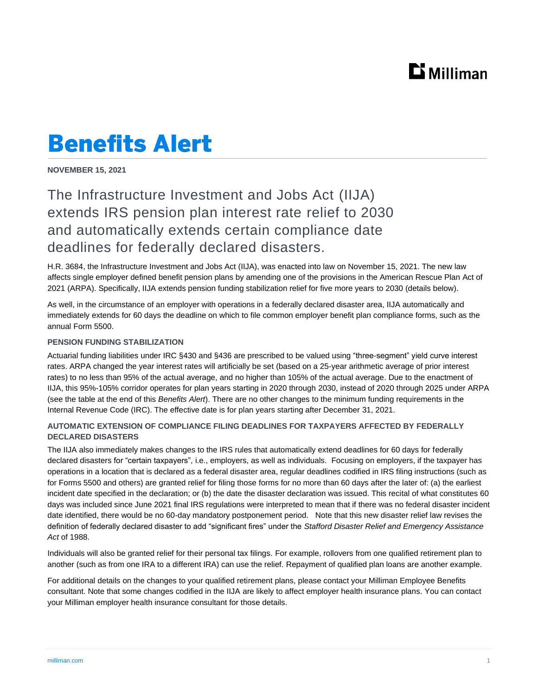## $\mathbf{D}$  Milliman

# **Benefits Alert**

**NOVEMBER 15, 2021**

### The Infrastructure Investment and Jobs Act (IIJA) extends IRS pension plan interest rate relief to 2030 and automatically extends certain compliance date deadlines for federally declared disasters.

H.R. 3684, the Infrastructure Investment and Jobs Act (IIJA), was enacted into law on November 15, 2021. The new law affects single employer defined benefit pension plans by amending one of the provisions in the American Rescue Plan Act of 2021 (ARPA). Specifically, IIJA extends pension funding stabilization relief for five more years to 2030 (details below).

As well, in the circumstance of an employer with operations in a federally declared disaster area, IIJA automatically and immediately extends for 60 days the deadline on which to file common employer benefit plan compliance forms, such as the annual Form 5500.

#### **PENSION FUNDING STABILIZATION**

Actuarial funding liabilities under IRC §430 and §436 are prescribed to be valued using "three-segment" yield curve interest rates. ARPA changed the year interest rates will artificially be set (based on a 25-year arithmetic average of prior interest rates) to no less than 95% of the actual average, and no higher than 105% of the actual average. Due to the enactment of IIJA, this 95%-105% corridor operates for plan years starting in 2020 through 2030, instead of 2020 through 2025 under ARPA (see the table at the end of this *Benefits Alert*). There are no other changes to the minimum funding requirements in the Internal Revenue Code (IRC). The effective date is for plan years starting after December 31, 2021.

#### **AUTOMATIC EXTENSION OF COMPLIANCE FILING DEADLINES FOR TAXPAYERS AFFECTED BY FEDERALLY DECLARED DISASTERS**

The IIJA also immediately makes changes to the IRS rules that automatically extend deadlines for 60 days for federally declared disasters for "certain taxpayers", i.e., employers, as well as individuals. Focusing on employers, if the taxpayer has operations in a location that is declared as a federal disaster area, regular deadlines codified in IRS filing instructions (such as for Forms 5500 and others) are granted relief for filing those forms for no more than 60 days after the later of: (a) the earliest incident date specified in the declaration; or (b) the date the disaster declaration was issued. This recital of what constitutes 60 days was included since June 2021 final IRS regulations were interpreted to mean that if there was no federal disaster incident date identified, there would be no 60-day mandatory postponement period. Note that this new disaster relief law revises the definition of federally declared disaster to add "significant fires" under the *Stafford Disaster Relief and Emergency Assistance Act* of 1988.

Individuals will also be granted relief for their personal tax filings. For example, rollovers from one qualified retirement plan to another (such as from one IRA to a different IRA) can use the relief. Repayment of qualified plan loans are another example.

For additional details on the changes to your qualified retirement plans, please contact your Milliman Employee Benefits consultant. Note that some changes codified in the IIJA are likely to affect employer health insurance plans. You can contact your Milliman employer health insurance consultant for those details.